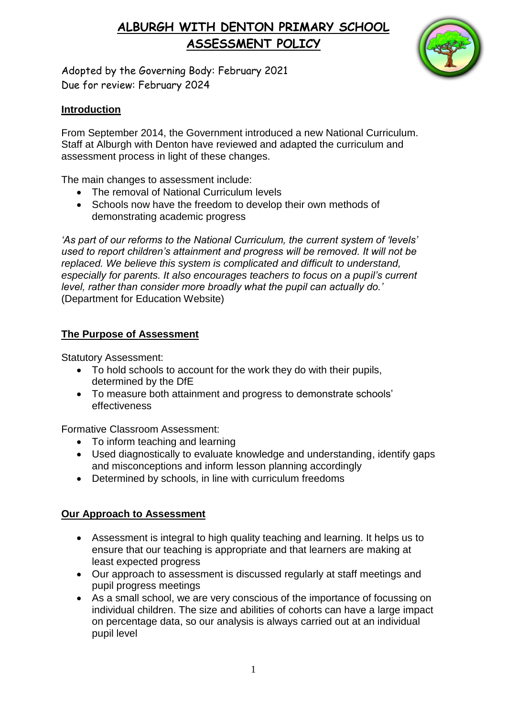

Adopted by the Governing Body: February 2021 Due for review: February 2024

#### **Introduction**

From September 2014, the Government introduced a new National Curriculum. Staff at Alburgh with Denton have reviewed and adapted the curriculum and assessment process in light of these changes.

The main changes to assessment include:

- The removal of National Curriculum levels
- Schools now have the freedom to develop their own methods of demonstrating academic progress

*'As part of our reforms to the National Curriculum, the current system of 'levels' used to report children's attainment and progress will be removed. It will not be replaced. We believe this system is complicated and difficult to understand, especially for parents. It also encourages teachers to focus on a pupil's current level, rather than consider more broadly what the pupil can actually do.'*  (Department for Education Website)

### **The Purpose of Assessment**

Statutory Assessment:

- To hold schools to account for the work they do with their pupils, determined by the DfE
- To measure both attainment and progress to demonstrate schools' effectiveness

Formative Classroom Assessment:

- To inform teaching and learning
- Used diagnostically to evaluate knowledge and understanding, identify gaps and misconceptions and inform lesson planning accordingly
- Determined by schools, in line with curriculum freedoms

#### **Our Approach to Assessment**

- Assessment is integral to high quality teaching and learning. It helps us to ensure that our teaching is appropriate and that learners are making at least expected progress
- Our approach to assessment is discussed regularly at staff meetings and pupil progress meetings
- As a small school, we are very conscious of the importance of focussing on individual children. The size and abilities of cohorts can have a large impact on percentage data, so our analysis is always carried out at an individual pupil level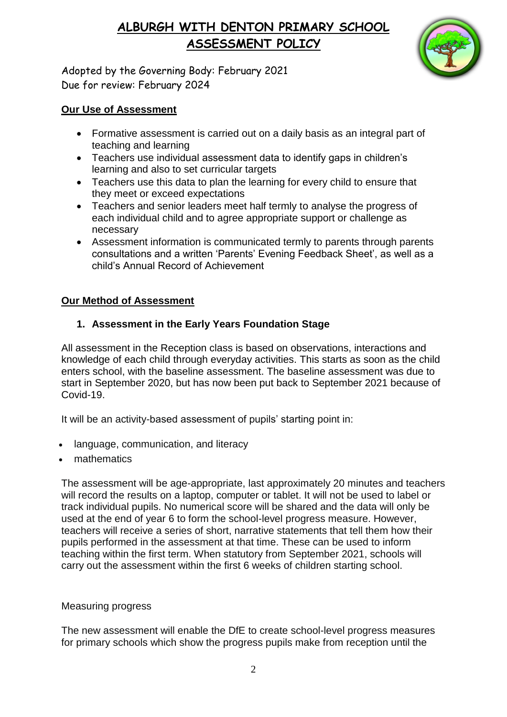

Adopted by the Governing Body: February 2021 Due for review: February 2024

#### **Our Use of Assessment**

- Formative assessment is carried out on a daily basis as an integral part of teaching and learning
- Teachers use individual assessment data to identify gaps in children's learning and also to set curricular targets
- Teachers use this data to plan the learning for every child to ensure that they meet or exceed expectations
- Teachers and senior leaders meet half termly to analyse the progress of each individual child and to agree appropriate support or challenge as necessary
- Assessment information is communicated termly to parents through parents consultations and a written 'Parents' Evening Feedback Sheet', as well as a child's Annual Record of Achievement

### **Our Method of Assessment**

### **1. Assessment in the Early Years Foundation Stage**

All assessment in the Reception class is based on observations, interactions and knowledge of each child through everyday activities. This starts as soon as the child enters school, with the baseline assessment. The baseline assessment was due to start in September 2020, but has now been put back to September 2021 because of Covid-19.

It will be an activity-based assessment of pupils' starting point in:

- language, communication, and literacy
- mathematics

The assessment will be age-appropriate, last approximately 20 minutes and teachers will record the results on a laptop, computer or tablet. It will not be used to label or track individual pupils. No numerical score will be shared and the data will only be used at the end of year 6 to form the school-level progress measure. However, teachers will receive a series of short, narrative statements that tell them how their pupils performed in the assessment at that time. These can be used to inform teaching within the first term. When statutory from September 2021, schools will carry out the assessment within the first 6 weeks of children starting school.

#### Measuring progress

The new assessment will enable the DfE to create school-level progress measures for primary schools which show the progress pupils make from reception until the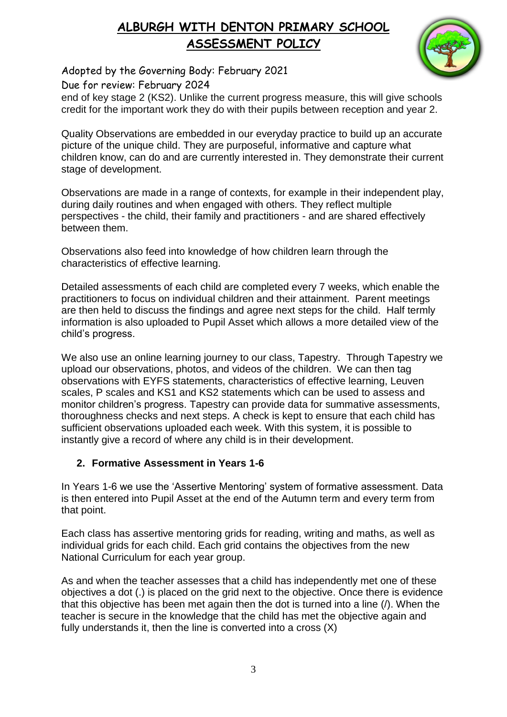

Adopted by the Governing Body: February 2021

Due for review: February 2024

end of key stage 2 (KS2). Unlike the current progress measure, this will give schools credit for the important work they do with their pupils between reception and year 2.

Quality Observations are embedded in our everyday practice to build up an accurate picture of the unique child. They are purposeful, informative and capture what children know, can do and are currently interested in. They demonstrate their current stage of development.

Observations are made in a range of contexts, for example in their independent play, during daily routines and when engaged with others. They reflect multiple perspectives - the child, their family and practitioners - and are shared effectively between them.

Observations also feed into knowledge of how children learn through the characteristics of effective learning.

Detailed assessments of each child are completed every 7 weeks, which enable the practitioners to focus on individual children and their attainment. Parent meetings are then held to discuss the findings and agree next steps for the child. Half termly information is also uploaded to Pupil Asset which allows a more detailed view of the child's progress.

We also use an online learning journey to our class, Tapestry. Through Tapestry we upload our observations, photos, and videos of the children. We can then tag observations with EYFS statements, characteristics of effective learning, Leuven scales, P scales and KS1 and KS2 statements which can be used to assess and monitor children's progress. Tapestry can provide data for summative assessments, thoroughness checks and next steps. A check is kept to ensure that each child has sufficient observations uploaded each week. With this system, it is possible to instantly give a record of where any child is in their development.

### **2. Formative Assessment in Years 1-6**

In Years 1-6 we use the 'Assertive Mentoring' system of formative assessment. Data is then entered into Pupil Asset at the end of the Autumn term and every term from that point.

Each class has assertive mentoring grids for reading, writing and maths, as well as individual grids for each child. Each grid contains the objectives from the new National Curriculum for each year group.

As and when the teacher assesses that a child has independently met one of these objectives a dot (.) is placed on the grid next to the objective. Once there is evidence that this objective has been met again then the dot is turned into a line (/). When the teacher is secure in the knowledge that the child has met the objective again and fully understands it, then the line is converted into a cross (X)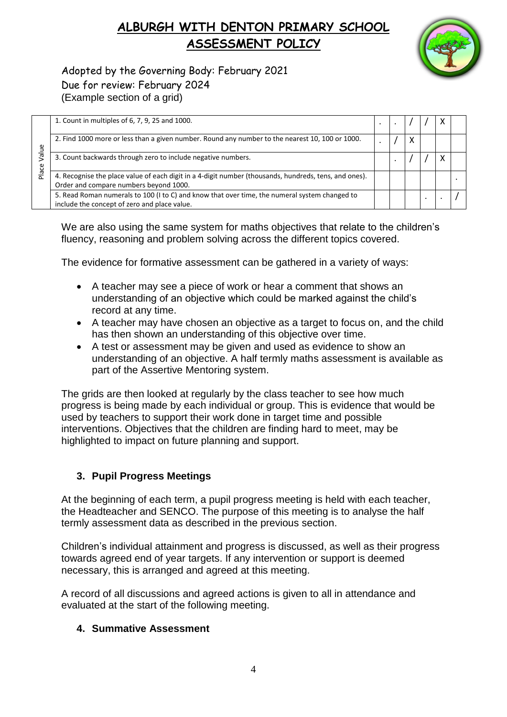

Adopted by the Governing Body: February 2021 Due for review: February 2024 (Example section of a grid)

|                             | 1. Count in multiples of 6, 7, 9, 25 and 1000.                                                                                                  |  |  | х |  |
|-----------------------------|-------------------------------------------------------------------------------------------------------------------------------------------------|--|--|---|--|
| $\mathbf{u}$<br>_ო<br>Place | 2. Find 1000 more or less than a given number. Round any number to the nearest 10, 100 or 1000.                                                 |  |  |   |  |
|                             | 3. Count backwards through zero to include negative numbers.                                                                                    |  |  | X |  |
|                             | 4. Recognise the place value of each digit in a 4-digit number (thousands, hundreds, tens, and ones).<br>Order and compare numbers beyond 1000. |  |  |   |  |
|                             | 5. Read Roman numerals to 100 (I to C) and know that over time, the numeral system changed to<br>include the concept of zero and place value.   |  |  |   |  |

We are also using the same system for maths objectives that relate to the children's fluency, reasoning and problem solving across the different topics covered.

The evidence for formative assessment can be gathered in a variety of ways:

- A teacher may see a piece of work or hear a comment that shows an understanding of an objective which could be marked against the child's record at any time.
- A teacher may have chosen an objective as a target to focus on, and the child has then shown an understanding of this objective over time.
- A test or assessment may be given and used as evidence to show an understanding of an objective. A half termly maths assessment is available as part of the Assertive Mentoring system.

The grids are then looked at regularly by the class teacher to see how much progress is being made by each individual or group. This is evidence that would be used by teachers to support their work done in target time and possible interventions. Objectives that the children are finding hard to meet, may be highlighted to impact on future planning and support.

#### **3. Pupil Progress Meetings**

At the beginning of each term, a pupil progress meeting is held with each teacher, the Headteacher and SENCO. The purpose of this meeting is to analyse the half termly assessment data as described in the previous section.

Children's individual attainment and progress is discussed, as well as their progress towards agreed end of year targets. If any intervention or support is deemed necessary, this is arranged and agreed at this meeting.

A record of all discussions and agreed actions is given to all in attendance and evaluated at the start of the following meeting.

#### **4. Summative Assessment**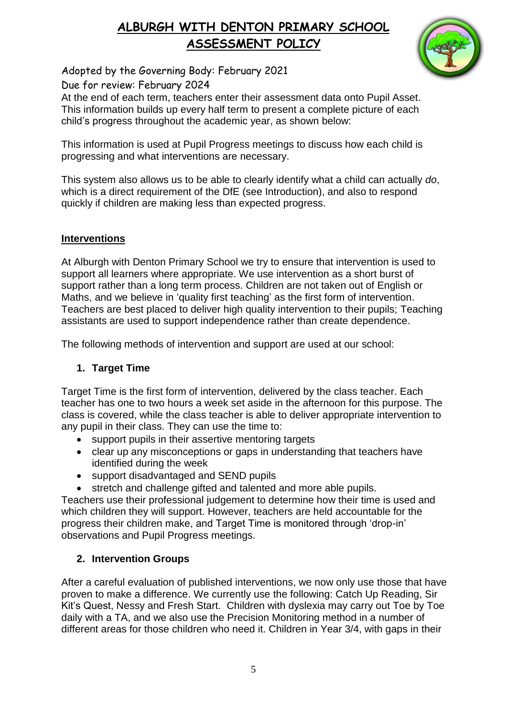

Adopted by the Governing Body: February 2021

Due for review: February 2024

At the end of each term, teachers enter their assessment data onto Pupil Asset. This information builds up every half term to present a complete picture of each child's progress throughout the academic year, as shown below:

This information is used at Pupil Progress meetings to discuss how each child is progressing and what interventions are necessary.

This system also allows us to be able to clearly identify what a child can actually *do*, which is a direct requirement of the DfE (see Introduction), and also to respond quickly if children are making less than expected progress.

### **Interventions**

At Alburgh with Denton Primary School we try to ensure that intervention is used to support all learners where appropriate. We use intervention as a short burst of support rather than a long term process. Children are not taken out of English or Maths, and we believe in 'quality first teaching' as the first form of intervention. Teachers are best placed to deliver high quality intervention to their pupils; Teaching assistants are used to support independence rather than create dependence.

The following methods of intervention and support are used at our school:

### **1. Target Time**

Target Time is the first form of intervention, delivered by the class teacher. Each teacher has one to two hours a week set aside in the afternoon for this purpose. The class is covered, while the class teacher is able to deliver appropriate intervention to any pupil in their class. They can use the time to:

- support pupils in their assertive mentoring targets
- clear up any misconceptions or gaps in understanding that teachers have identified during the week
- support disadvantaged and SEND pupils
- stretch and challenge gifted and talented and more able pupils.

Teachers use their professional judgement to determine how their time is used and which children they will support. However, teachers are held accountable for the progress their children make, and Target Time is monitored through 'drop-in' observations and Pupil Progress meetings.

### **2. Intervention Groups**

After a careful evaluation of published interventions, we now only use those that have proven to make a difference. We currently use the following: Catch Up Reading, Sir Kit's Quest, Nessy and Fresh Start. Children with dyslexia may carry out Toe by Toe daily with a TA, and we also use the Precision Monitoring method in a number of different areas for those children who need it. Children in Year 3/4, with gaps in their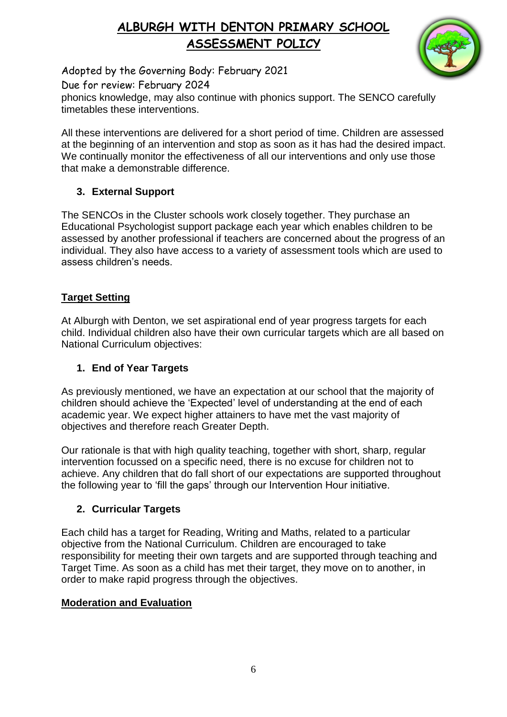

Adopted by the Governing Body: February 2021

Due for review: February 2024

phonics knowledge, may also continue with phonics support. The SENCO carefully timetables these interventions.

All these interventions are delivered for a short period of time. Children are assessed at the beginning of an intervention and stop as soon as it has had the desired impact. We continually monitor the effectiveness of all our interventions and only use those that make a demonstrable difference.

### **3. External Support**

The SENCOs in the Cluster schools work closely together. They purchase an Educational Psychologist support package each year which enables children to be assessed by another professional if teachers are concerned about the progress of an individual. They also have access to a variety of assessment tools which are used to assess children's needs.

### **Target Setting**

At Alburgh with Denton, we set aspirational end of year progress targets for each child. Individual children also have their own curricular targets which are all based on National Curriculum objectives:

### **1. End of Year Targets**

As previously mentioned, we have an expectation at our school that the majority of children should achieve the 'Expected' level of understanding at the end of each academic year. We expect higher attainers to have met the vast majority of objectives and therefore reach Greater Depth.

Our rationale is that with high quality teaching, together with short, sharp, regular intervention focussed on a specific need, there is no excuse for children not to achieve. Any children that do fall short of our expectations are supported throughout the following year to 'fill the gaps' through our Intervention Hour initiative.

### **2. Curricular Targets**

Each child has a target for Reading, Writing and Maths, related to a particular objective from the National Curriculum. Children are encouraged to take responsibility for meeting their own targets and are supported through teaching and Target Time. As soon as a child has met their target, they move on to another, in order to make rapid progress through the objectives.

### **Moderation and Evaluation**